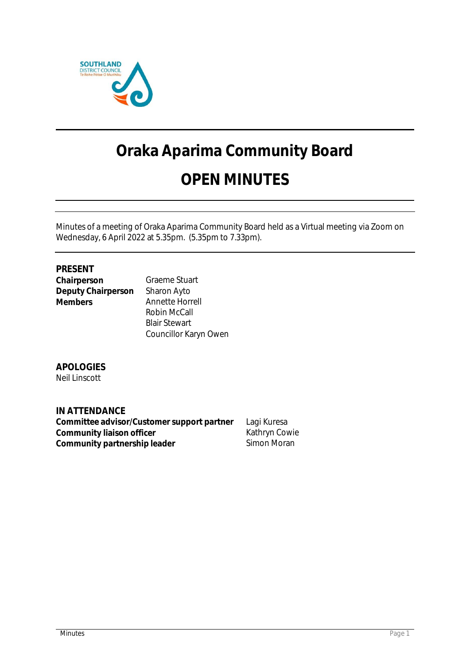

# **Oraka Aparima Community Board**

## **OPEN MINUTES**

Minutes of a meeting of Oraka Aparima Community Board held as a Virtual meeting via Zoom on Wednesday, 6 April 2022 at 5.35pm. (5.35pm to 7.33pm).

**Graeme Stuart Sharon Ayto Annette Horrell** Robin McCall Blair Stewart Councillor Karyn Owen

**APOLOGIES** Neil Linscott

**IN ATTENDANCE Committee advisor/Customer support partner** Lagi Kuresa **Community liaison officer** Kathryn Cowie Community partnership leader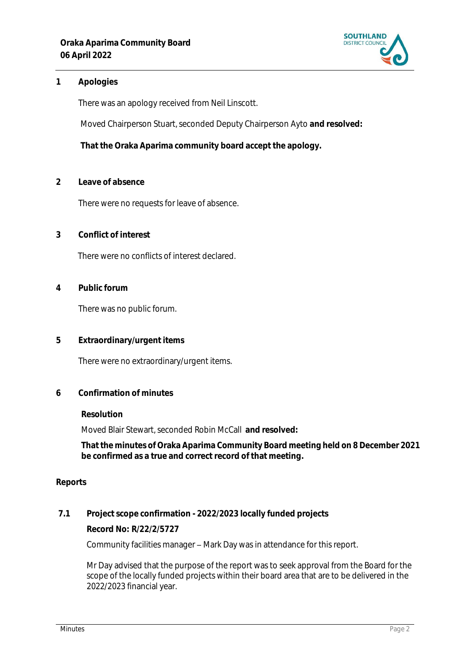

#### **1 Apologies**

There was an apology received from Neil Linscott.

Moved Chairperson Stuart, seconded Deputy Chairperson Ayto **and resolved:**

**That the Oraka Aparima community board accept the apology.**

**2 Leave of absence** 

There were no requests for leave of absence.

**3 Conflict of interest**

There were no conflicts of interest declared.

**4 Public forum**

There was no public forum.

**5 Extraordinary/urgent items**

There were no extraordinary/urgent items.

**6 Confirmation of minutes**

**Resolution**

Moved Blair Stewart, seconded Robin McCall **and resolved:**

**That the minutes of Oraka Aparima Community Board meeting held on 8 December 2021 be confirmed as a true and correct record of that meeting.**

#### **Reports**

### **7.1 Project scope confirmation - 2022/2023 locally funded projects**

**Record No: R/22/2/5727**

Community facilities manager - Mark Day was in attendance for this report.

Mr Day advised that the purpose of the report was to seek approval from the Board for the scope of the locally funded projects within their board area that are to be delivered in the 2022/2023 financial year.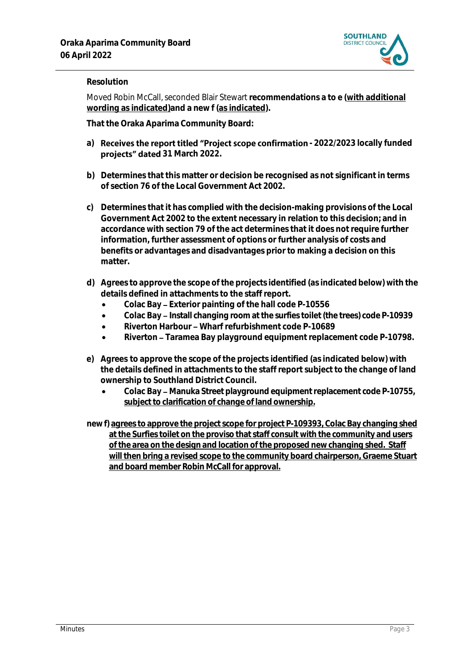

#### **Resolution**

Moved Robin McCall, seconded Blair Stewart **recommendations a to e (with additional wording as indicated)and a new f (as indicated).**

**That the Oraka Aparima Community Board:**

- a) **Receives the report titled "Project scope confirmation 2022/2023 locally funded projects"** dated 31 March 2022.
- **b) Determines that this matter or decision be recognised as not significant in terms of section 76 of the Local Government Act 2002.**
- **c) Determines that it has complied with the decision-making provisions of the Local Government Act 2002 to the extent necessary in relation to this decision; and in accordance with section 79 of the act determines that it does not require further information, further assessment of options or further analysis of costs and benefits or advantages and disadvantages prior to making a decision on this matter.**
- **d) Agrees to approve the scope of the projects identified (as indicated below) with the details defined in attachments to the staff report.**
	- **Colac Bay Exterior painting of the hall code P-10556**
	- Colac Bay Install changing room at the surfies toilet (the trees) code P-10939
	- **Riverton Harbour Wharf refurbishment code P-10689**
	- **Riverton Taramea Bay playground equipment replacement code P-10798.**
- **e) Agrees to approve the scope of the projects identified (as indicated below) with the details defined in attachments to the staff report subject to the change of land ownership to Southland District Council.**
	- Colac Bay Manuka Street playground equipment replacement code P-10755, **subject to clarification of change of land ownership.**
- **new f) agrees to approve the project scope for project P-109393, Colac Bay changing shed at the Surfies toilet on the proviso that staff consult with the community and users of the area on the design and location of the proposed new changing shed. Staff will then bring a revised scope to the community board chairperson, Graeme Stuart and board member Robin McCall for approval.**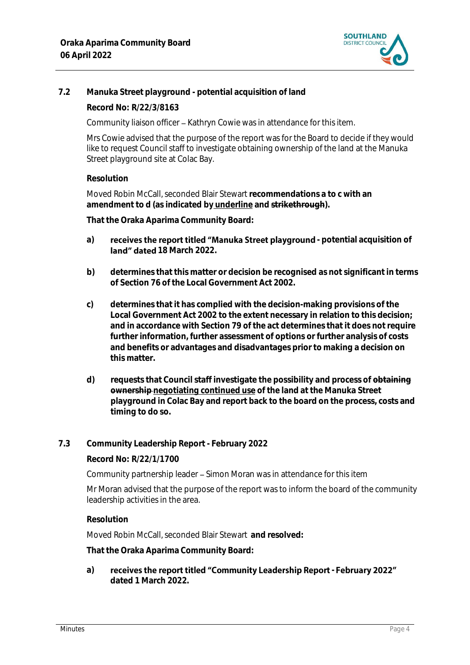

#### **7.2 Manuka Street playground - potential acquisition of land**

**Record No: R/22/3/8163**

Community liaison officer - Kathryn Cowie was in attendance for this item.

Mrs Cowie advised that the purpose of the report was for the Board to decide if they would like to request Council staff to investigate obtaining ownership of the land at the Manuka Street playground site at Colac Bay.

#### **Resolution**

Moved Robin McCall, seconded Blair Stewart **recommendations a to c with an amendment to d (as indicated by underline and strikethrough).**

**That the Oraka Aparima Community Board:**

- a) **receives the report titled "Manuka Street playground** potential acquisition of **land" dated 18 March 2022.**
- **b) determines that this matter or decision be recognised as not significant in terms of Section 76 of the Local Government Act 2002.**
- **c) determines that it has complied with the decision-making provisions of the Local Government Act 2002 to the extent necessary in relation to this decision; and in accordance with Section 79 of the act determines that it does not require further information, further assessment of options or further analysis of costs and benefits or advantages and disadvantages prior to making a decision on this matter.**
- **d) requests that Council staff investigate the possibility and process of obtaining ownership negotiating continued use of the land at the Manuka Street playground in Colac Bay and report back to the board on the process, costs and timing to do so.**
- **7.3 Community Leadership Report - February 2022**

**Record No: R/22/1/1700**

Community partnership leader – Simon Moran was in attendance for this item

Mr Moran advised that the purpose of the report was to inform the board of the community leadership activities in the area.

#### **Resolution**

Moved Robin McCall, seconded Blair Stewart **and resolved:**

**That the Oraka Aparima Community Board:**

a) receives the report titled "Community Leadership Report - February 2022" **dated 1 March 2022.**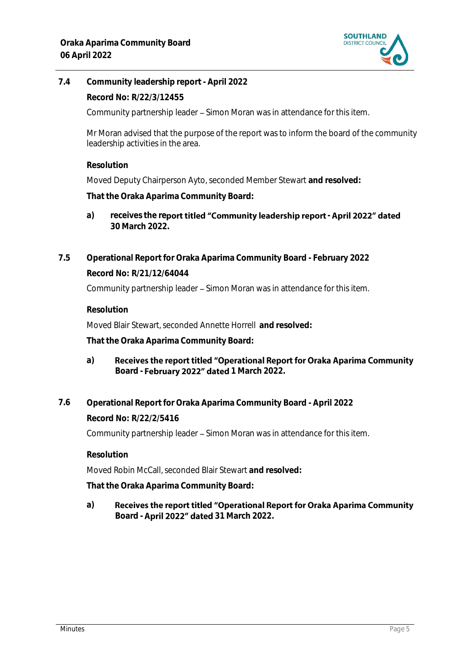

**7.4 Community leadership report - April 2022**

**Record No: R/22/3/12455**

Community partnership leader – Simon Moran was in attendance for this item.

Mr Moran advised that the purpose of the report was to inform the board of the community leadership activities in the area.

#### **Resolution**

Moved Deputy Chairperson Ayto, seconded Member Stewart **and resolved:**

**That the Oraka Aparima Community Board:**

- a) receives the report titled "Community leadership report April 2022" dated **30 March 2022.**
- **7.5 Operational Report for Oraka Aparima Community Board - February 2022 Record No: R/21/12/64044** Community partnership leader – Simon Moran was in attendance for this item.

#### **Resolution**

Moved Blair Stewart, seconded Annette Horrell **and resolved:**

**That the Oraka Aparima Community Board:**

#### **a)** Receives the report titled "Operational Report for Oraka Aparima Community Board - February 2022" dated 1 March 2022.

**7.6 Operational Report for Oraka Aparima Community Board - April 2022**

#### **Record No: R/22/2/5416**

Community partnership leader - Simon Moran was in attendance for this item.

#### **Resolution**

Moved Robin McCall, seconded Blair Stewart **and resolved:**

**That the Oraka Aparima Community Board:**

Receives the report titled "Operational Report for Oraka Aparima Community **a) Board - 31 March 2022.**